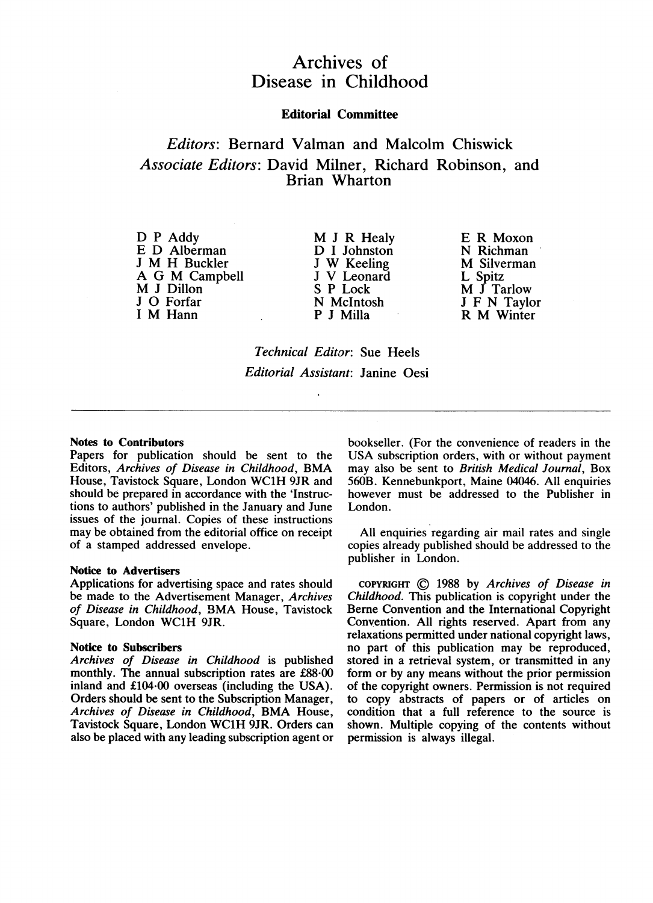# Archives of Disease in Childhood

## Editorial Committee

# Editors: Bernard Valman and Malcolm Chiswick Associate Editors: David Milner, Richard Robinson, and Brian Wharton

D P Addy E D Alberman <sup>J</sup> M H Buckler A G M Campbell M <sup>J</sup> Dillon <sup>J</sup> 0 Forfar <sup>I</sup> M Hann

M <sup>J</sup> R Healy D I Johnston <sup>J</sup> W Keeling <sup>J</sup> V Leonard S P Lock N McIntosh P J Milla

E R Moxon N Richman M Silverman L Spitz M <sup>J</sup> Tarlow <sup>J</sup> F N Taylor R M Winter

Technical Editor: Sue Heels Editorial Assistant: Janine Oesi

### Notes to Contributors

Papers for publication should be sent to the Editors, Archives of Disease in Childhood, BMA House, Tavistock Square, London WC1H 9JR and should be prepared in accordance with the 'Instructions to authors' published in the January and June issues of the journal. Copies of these instructions may be obtained from the editorial office on receipt of a stamped addressed envelope.

### Notice to Advertisers

Applications for advertising space and rates should be made to the Advertisement Manager, Archives of Disease in Childhood, BMA House, Tavistock Square, London WClH 9JR.

### Notice to Subscribers

Archives of Disease in Childhood is published monthly. The annual subscription rates are £88-00 inland and £104-00 overseas (including the USA). Orders should be sent to the Subscription Manager, Archives of Disease in Childhood, BMA House, Tavistock Square, London WC1H 9JR. Orders can also be placed with any leading subscription agent or bookseller. (For the convenience of readers in the USA subscription orders, with or without payment may also be sent to British Medical Journal, Box 560B. Kennebunkport, Maine 04046. All enquiries however must be addressed to the Publisher in London.

All enquiries regarding air mail rates and single copies already published should be addressed to the publisher in London.

COPYRIGHT C 1988 by Archives of Disease in Childhood. This publication is copyright under the Berne Convention and the International Copyright Convention. All rights reserved. Apart from any relaxations permitted under national copyright laws, no part of this publication may be reproduced, stored in a retrieval system, or transmitted in any form or by any means without the prior permission of the copyright owners. Permission is not required to copy abstracts of papers or of articles on condition that a full reference to the source is shown. Multiple copying of the contents without permission is always illegal.